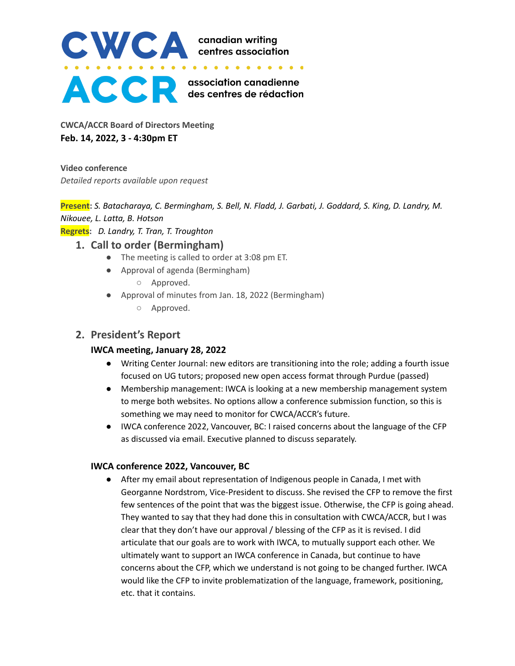

**CWCA/ACCR Board of Directors Meeting Feb. 14, 2022, 3 - 4:30pm ET**

**Video conference** *Detailed reports available upon request*

Present: S. Batacharaya, C. Bermingham, S. Bell, N. Fladd, J. Garbati, J. Goddard, S. King, D. Landry, M. *Nikouee, L. Latta, B. Hotson* **Regrets:** *D. Landry, T. Tran, T. Troughton*

### **1. Call to order (Bermingham)**

- The meeting is called to order at 3:08 pm ET.
- Approval of agenda (Bermingham)
	- Approved.
- Approval of minutes from Jan. 18, 2022 (Bermingham)
	- Approved.

### **2. President's Report**

#### **IWCA meeting, January 28, 2022**

- **●** Writing Center Journal: new editors are transitioning into the role; adding a fourth issue focused on UG tutors; proposed new open access format through Purdue (passed)
- **●** Membership management: IWCA is looking at a new membership management system to merge both websites. No options allow a conference submission function, so this is something we may need to monitor for CWCA/ACCR's future.
- **●** IWCA conference 2022, Vancouver, BC: I raised concerns about the language of the CFP as discussed via email. Executive planned to discuss separately.

#### **IWCA conference 2022, Vancouver, BC**

● After my email about representation of Indigenous people in Canada, I met with Georganne Nordstrom, Vice-President to discuss. She revised the CFP to remove the first few sentences of the point that was the biggest issue. Otherwise, the CFP is going ahead. They wanted to say that they had done this in consultation with CWCA/ACCR, but I was clear that they don't have our approval / blessing of the CFP as it is revised. I did articulate that our goals are to work with IWCA, to mutually support each other. We ultimately want to support an IWCA conference in Canada, but continue to have concerns about the CFP, which we understand is not going to be changed further. IWCA would like the CFP to invite problematization of the language, framework, positioning, etc. that it contains.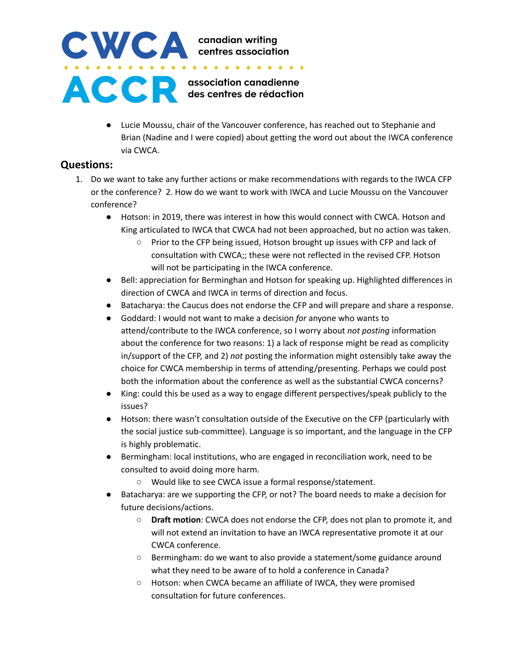

● Lucie Moussu, chair of the Vancouver conference, has reached out to Stephanie and Brian (Nadine and I were copied) about getting the word out about the IWCA conference via CWCA.

### **Questions:**

- 1. Do we want to take any further actions or make recommendations with regards to the IWCA CFP or the conference? 2. How do we want to work with IWCA and Lucie Moussu on the Vancouver conference?
	- Hotson: in 2019, there was interest in how this would connect with CWCA. Hotson and King articulated to IWCA that CWCA had not been approached, but no action was taken.
		- Prior to the CFP being issued, Hotson brought up issues with CFP and lack of consultation with CWCA;; these were not reflected in the revised CFP. Hotson will not be participating in the IWCA conference.
	- Bell: appreciation for Berminghan and Hotson for speaking up. Highlighted differences in direction of CWCA and IWCA in terms of direction and focus.
	- Batacharya: the Caucus does not endorse the CFP and will prepare and share a response.
	- Goddard: I would not want to make a decision *for* anyone who wants to attend/contribute to the IWCA conference, so I worry about *not posting* information about the conference for two reasons: 1) a lack of response might be read as complicity in/support of the CFP, and 2) *not* posting the information might ostensibly take away the choice for CWCA membership in terms of attending/presenting. Perhaps we could post both the information about the conference as well as the substantial CWCA concerns?
	- King: could this be used as a way to engage different perspectives/speak publicly to the issues?
	- Hotson: there wasn't consultation outside of the Executive on the CFP (particularly with the social justice sub-committee). Language is so important, and the language in the CFP is highly problematic.
	- Bermingham: local institutions, who are engaged in reconciliation work, need to be consulted to avoid doing more harm.
		- Would like to see CWCA issue a formal response/statement.
	- Batacharya: are we supporting the CFP, or not? The board needs to make a decision for future decisions/actions.
		- **Draft motion**: CWCA does not endorse the CFP, does not plan to promote it, and will not extend an invitation to have an IWCA representative promote it at our CWCA conference.
		- Bermingham: do we want to also provide a statement/some guidance around what they need to be aware of to hold a conference in Canada?
		- Hotson: when CWCA became an affiliate of IWCA, they were promised consultation for future conferences.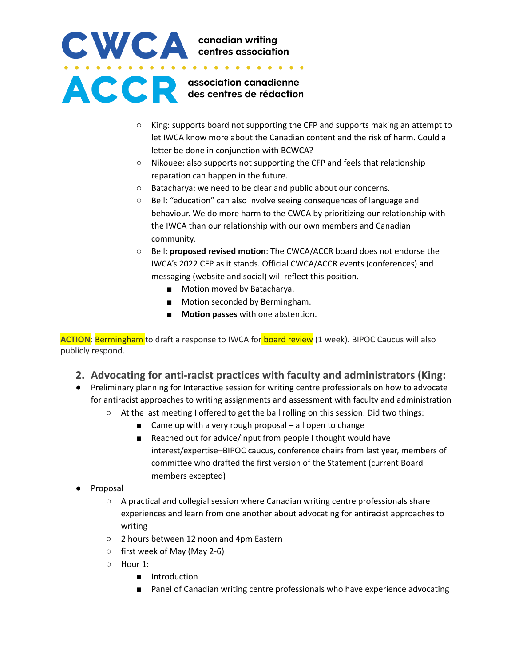# CWCA canadian writing<br>
..................... **ACCE** association canadienne

- King: supports board not supporting the CFP and supports making an attempt to let IWCA know more about the Canadian content and the risk of harm. Could a letter be done in conjunction with BCWCA?
- Nikouee: also supports not supporting the CFP and feels that relationship reparation can happen in the future.
- Batacharya: we need to be clear and public about our concerns.
- Bell: "education" can also involve seeing consequences of language and behaviour. We do more harm to the CWCA by prioritizing our relationship with the IWCA than our relationship with our own members and Canadian community.
- Bell: **proposed revised motion**: The CWCA/ACCR board does not endorse the IWCA's 2022 CFP as it stands. Official CWCA/ACCR events (conferences) and messaging (website and social) will reflect this position.
	- Motion moved by Batacharya.
	- Motion seconded by Bermingham.
	- **Motion passes** with one abstention.

**ACTION**: Bermingham to draft a response to IWCA for board review (1 week). BIPOC Caucus will also publicly respond.

- **2. Advocating for anti-racist practices with faculty and administrators (King:**
- Preliminary planning for Interactive session for writing centre professionals on how to advocate for antiracist approaches to writing assignments and assessment with faculty and administration
	- **○** At the last meeting I offered to get the ball rolling on this session. Did two things:
		- Came up with a very rough proposal all open to change
		- Reached out for advice/input from people I thought would have interest/expertise–BIPOC caucus, conference chairs from last year, members of committee who drafted the first version of the Statement (current Board members excepted)
- **●** Proposal
	- **○** A practical and collegial session where Canadian writing centre professionals share experiences and learn from one another about advocating for antiracist approaches to writing
	- **○** 2 hours between 12 noon and 4pm Eastern
	- **○** first week of May (May 2-6)
	- **○** Hour 1:
		- **■** Introduction
		- Panel of Canadian writing centre professionals who have experience advocating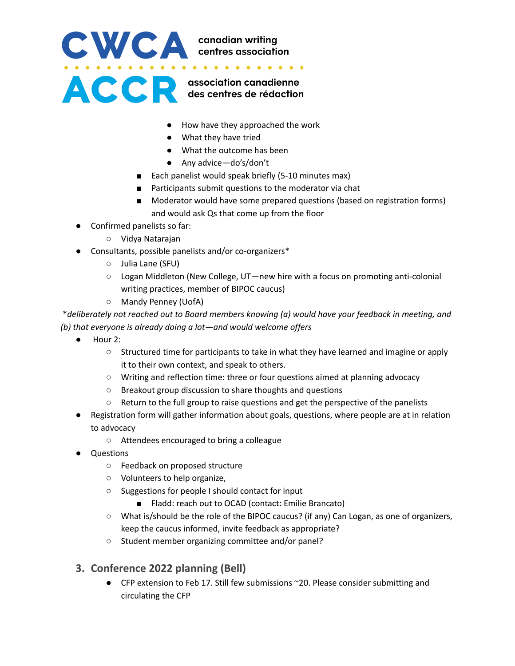# CWCA canadian writing<br>
.........................  $\begin{array}{cccccccccccccc} \bullet & \bullet & \bullet & \bullet & \bullet & \bullet & \bullet \end{array}$ ACCE association canadienne

- **●** How have they approached the work
- **●** What they have tried
- **●** What the outcome has been
- **●** Any advice—do's/don't
- Each panelist would speak briefly (5-10 minutes max)
- Participants submit questions to the moderator via chat
- Moderator would have some prepared questions (based on registration forms) and would ask Qs that come up from the floor
- Confirmed panelists so far:
	- Vidya Natarajan
- Consultants, possible panelists and/or co-organizers\*
	- Julia Lane (SFU)
	- Logan Middleton (New College, UT—new hire with a focus on promoting anti-colonial writing practices, member of BIPOC caucus)
	- Mandy Penney (UofA)

\**deliberately not reached out to Board members knowing (a) would have your feedback in meeting, and (b) that everyone is already doing a lot—and would welcome offers*

- Hour 2:
	- Structured time for participants to take in what they have learned and imagine or apply it to their own context, and speak to others.
	- Writing and reflection time: three or four questions aimed at planning advocacy
	- Breakout group discussion to share thoughts and questions
	- Return to the full group to raise questions and get the perspective of the panelists
- Registration form will gather information about goals, questions, where people are at in relation to advocacy
	- Attendees encouraged to bring a colleague
- **Questions** 
	- Feedback on proposed structure
	- Volunteers to help organize,
	- Suggestions for people I should contact for input
		- Fladd: reach out to OCAD (contact: Emilie Brancato)
	- What is/should be the role of the BIPOC caucus? (if any) Can Logan, as one of organizers, keep the caucus informed, invite feedback as appropriate?
	- Student member organizing committee and/or panel?

#### **3. Conference 2022 planning (Bell)**

● CFP extension to Feb 17. Still few submissions ~20. Please consider submitting and circulating the CFP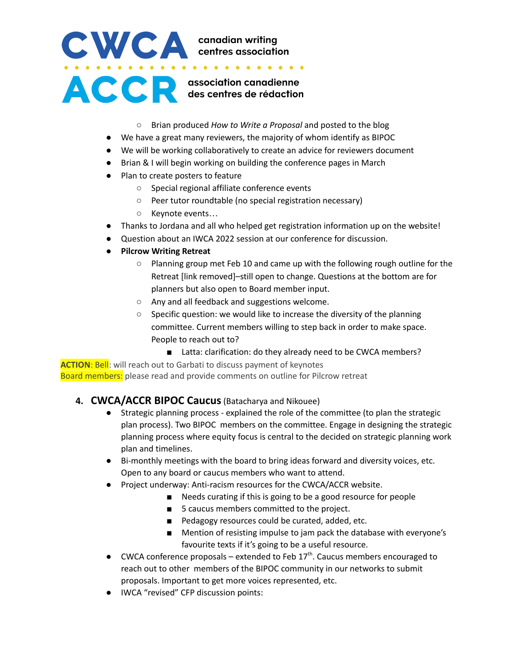# **ACCE** association canadienne

- Brian produced *How to Write a Proposal* and posted to the blog
- We have a great many reviewers, the majority of whom identify as BIPOC
- We will be working collaboratively to create an advice for reviewers document
- Brian & I will begin working on building the conference pages in March
- Plan to create posters to feature
	- Special regional affiliate conference events
	- Peer tutor roundtable (no special registration necessary)
	- Keynote events…
- Thanks to Jordana and all who helped get registration information up on the website!
- Question about an IWCA 2022 session at our conference for discussion.
- **Pilcrow Writing Retreat**
	- Planning group met Feb 10 and came up with the following rough outline for the Retreat [link removed]–still open to change. Questions at the bottom are for planners but also open to Board member input.
	- Any and all feedback and suggestions welcome.
	- Specific question: we would like to increase the diversity of the planning committee. Current members willing to step back in order to make space. People to reach out to?
		- Latta: clarification: do they already need to be CWCA members?

**ACTION: Bell:** will reach out to Garbati to discuss payment of keynotes Board members: please read and provide comments on outline for Pilcrow retreat

#### **4. CWCA/ACCR BIPOC Caucus**(Batacharya and Nikouee)

- Strategic planning process explained the role of the committee (to plan the strategic plan process). Two BIPOC members on the committee. Engage in designing the strategic planning process where equity focus is central to the decided on strategic planning work plan and timelines.
- Bi-monthly meetings with the board to bring ideas forward and diversity voices, etc. Open to any board or caucus members who want to attend.
- Project underway: Anti-racism resources for the CWCA/ACCR website.
	- Needs curating if this is going to be a good resource for people
		- 5 caucus members committed to the project.
		- Pedagogy resources could be curated, added, etc.
		- Mention of resisting impulse to jam pack the database with everyone's favourite texts if it's going to be a useful resource.
- $\bullet$  CWCA conference proposals extended to Feb 17<sup>th</sup>. Caucus members encouraged to reach out to other members of the BIPOC community in our networks to submit proposals. Important to get more voices represented, etc.
- IWCA "revised" CFP discussion points: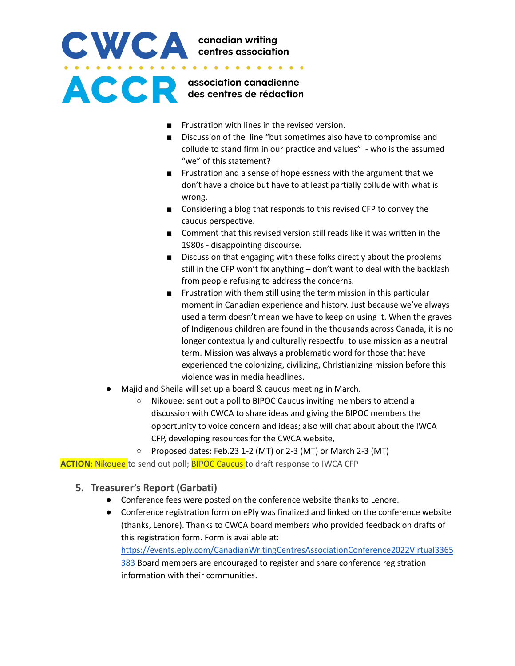# CWCA canadian writing<br>
........................ ACCE association canadienne

- Frustration with lines in the revised version.
- Discussion of the line "but sometimes also have to compromise and collude to stand firm in our practice and values" - who is the assumed "we" of this statement?
- Frustration and a sense of hopelessness with the argument that we don't have a choice but have to at least partially collude with what is wrong.
- Considering a blog that responds to this revised CFP to convey the caucus perspective.
- Comment that this revised version still reads like it was written in the 1980s - disappointing discourse.
- Discussion that engaging with these folks directly about the problems still in the CFP won't fix anything – don't want to deal with the backlash from people refusing to address the concerns.
- Frustration with them still using the term mission in this particular moment in Canadian experience and history. Just because we've always used a term doesn't mean we have to keep on using it. When the graves of Indigenous children are found in the thousands across Canada, it is no longer contextually and culturally respectful to use mission as a neutral term. Mission was always a problematic word for those that have experienced the colonizing, civilizing, Christianizing mission before this violence was in media headlines.
- Majid and Sheila will set up a board & caucus meeting in March.
	- Nikouee: sent out a poll to BIPOC Caucus inviting members to attend a discussion with CWCA to share ideas and giving the BIPOC members the opportunity to voice concern and ideas; also will chat about about the IWCA CFP, developing resources for the CWCA website,
	- Proposed dates: Feb.23 1-2 (MT) or 2-3 (MT) or March 2-3 (MT)

**ACTION**: Nikouee to send out poll; BIPOC Caucus to draft response to IWCA CFP

#### **5. Treasurer's Report (Garbati)**

- Conference fees were posted on the conference website thanks to Lenore.
- Conference registration form on ePly was finalized and linked on the conference website (thanks, Lenore). Thanks to CWCA board members who provided feedback on drafts of this registration form. Form is available at: [https://events.eply.com/CanadianWritingCentresAssociationConference2022Virtual3365](https://events.eply.com/CanadianWritingCentresAssociationConference2022Virtual3365383)

[383](https://events.eply.com/CanadianWritingCentresAssociationConference2022Virtual3365383) Board members are encouraged to register and share conference registration information with their communities.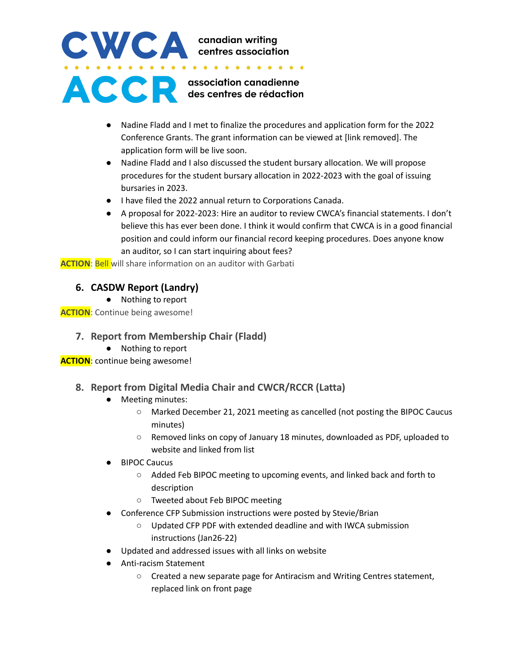

- Nadine Fladd and I met to finalize the procedures and application form for the 2022 Conference Grants. The grant information can be viewed at [link removed]. The application form will be live soon.
- Nadine Fladd and I also discussed the student bursary allocation. We will propose procedures for the student bursary allocation in 2022-2023 with the goal of issuing bursaries in 2023.
- I have filed the 2022 annual return to Corporations Canada.
- A proposal for 2022-2023: Hire an auditor to review CWCA's financial statements. I don't believe this has ever been done. I think it would confirm that CWCA is in a good financial position and could inform our financial record keeping procedures. Does anyone know an auditor, so I can start inquiring about fees?

**ACTION**: Bell will share information on an auditor with Garbati

### **6. CASDW Report (Landry)**

*●* Nothing to report

**ACTION**: Continue being awesome!

#### **7. Report from Membership Chair (Fladd)**

● Nothing to report

**ACTION**: continue being awesome!

#### **8. Report from Digital Media Chair and CWCR/RCCR (Latta)**

- Meeting minutes:
	- Marked December 21, 2021 meeting as cancelled (not posting the BIPOC Caucus minutes)
	- Removed links on copy of January 18 minutes, downloaded as PDF, uploaded to website and linked from list
- **BIPOC Caucus** 
	- Added Feb BIPOC meeting to upcoming events, and linked back and forth to description
	- Tweeted about Feb BIPOC meeting
- Conference CFP Submission instructions were posted by Stevie/Brian
	- Updated CFP PDF with extended deadline and with IWCA submission instructions (Jan26-22)
- Updated and addressed issues with all links on website
- Anti-racism Statement
	- Created a new separate page for Antiracism and Writing Centres statement, replaced link on front page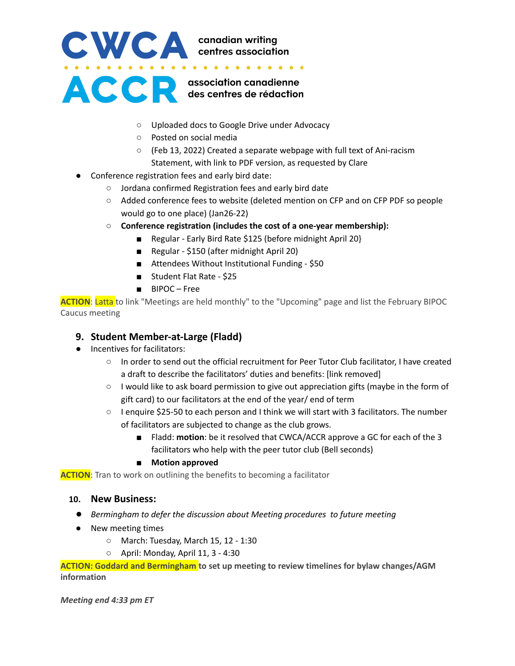# CWCA canadian writing<br>
........................ **ACCE** association canadienne

- Uploaded docs to Google Drive under Advocacy
- Posted on social media
- (Feb 13, 2022) Created a separate webpage with full text of Ani-racism Statement, with link to PDF version, as requested by Clare
- Conference registration fees and early bird date:
	- Jordana confirmed Registration fees and early bird date
	- Added conference fees to website (deleted mention on CFP and on CFP PDF so people would go to one place) (Jan26-22)
	- **Conference registration (includes the cost of a one-year membership):**
		- Regular Early Bird Rate \$125 (before midnight April 20}
		- Regular \$150 (after midnight April 20)
		- Attendees Without Institutional Funding \$50
		- Student Flat Rate \$25
		- BIPOC Free

ACTION: Latta to link "Meetings are held monthly" to the "Upcoming" page and list the February BIPOC Caucus meeting

## **9. Student Member-at-Large (Fladd)**

- Incentives for facilitators:
	- In order to send out the official recruitment for Peer Tutor Club facilitator, I have created a draft to describe the facilitators' duties and benefits: [link removed]
	- I would like to ask board permission to give out appreciation gifts (maybe in the form of gift card) to our facilitators at the end of the year/ end of term
	- I enquire \$25-50 to each person and I think we will start with 3 facilitators. The number of facilitators are subjected to change as the club grows.
		- Fladd: **motion**: be it resolved that CWCA/ACCR approve a GC for each of the 3 facilitators who help with the peer tutor club (Bell seconds)
		- **Motion approved**

**ACTION**: Tran to work on outlining the benefits to becoming a facilitator

#### **10. New Business:**

- *● Bermingham to defer the discussion about Meeting procedures to future meeting*
- New meeting times
	- March: Tuesday, March 15, 12 1:30
	- April: Monday, April 11, 3 4:30

**ACTION: Goddard and Bermingham to set up meeting to review timelines for bylaw changes/AGM information**

*Meeting end 4:33 pm ET*